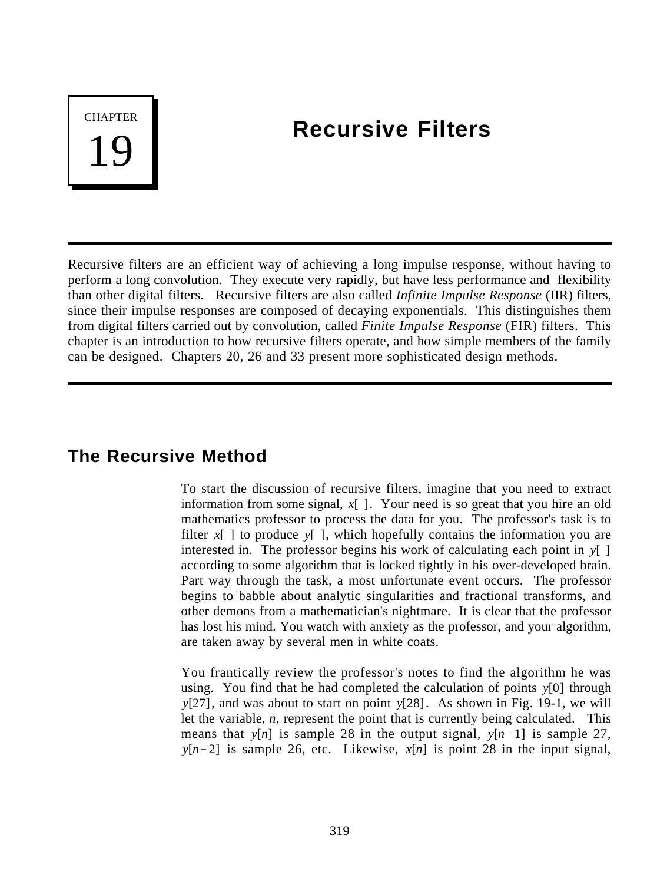# **CHAPTER**

# 19 **Recursive Filters**

Recursive filters are an efficient way of achieving a long impulse response, without having to perform a long convolution. They execute very rapidly, but have less performance and flexibility than other digital filters. Recursive filters are also called *Infinite Impulse Response* (IIR) filters, since their impulse responses are composed of decaying exponentials. This distinguishes them from digital filters carried out by convolution, called *Finite Impulse Response* (FIR) filters. This chapter is an introduction to how recursive filters operate, and how simple members of the family can be designed. Chapters 20, 26 and 33 present more sophisticated design methods.

# **The Recursive Method**

To start the discussion of recursive filters, imagine that you need to extract information from some signal, *x*[ ]. Your need is so great that you hire an old mathematics professor to process the data for you. The professor's task is to filter *x*[ ] to produce *y*[ ], which hopefully contains the information you are interested in. The professor begins his work of calculating each point in *y*[ ] according to some algorithm that is locked tightly in his over-developed brain. Part way through the task, a most unfortunate event occurs. The professor begins to babble about analytic singularities and fractional transforms, and other demons from a mathematician's nightmare. It is clear that the professor has lost his mind. You watch with anxiety as the professor, and your algorithm, are taken away by several men in white coats.

You frantically review the professor's notes to find the algorithm he was using. You find that he had completed the calculation of points *y*[0] through *y*[27], and was about to start on point *y*[28]. As shown in Fig. 19-1, we will let the variable, *n*, represent the point that is currently being calculated. This means that  $y[n]$  is sample 28 in the output signal,  $y[n-1]$  is sample 27,  $y[n-2]$  is sample 26, etc. Likewise,  $x[n]$  is point 28 in the input signal,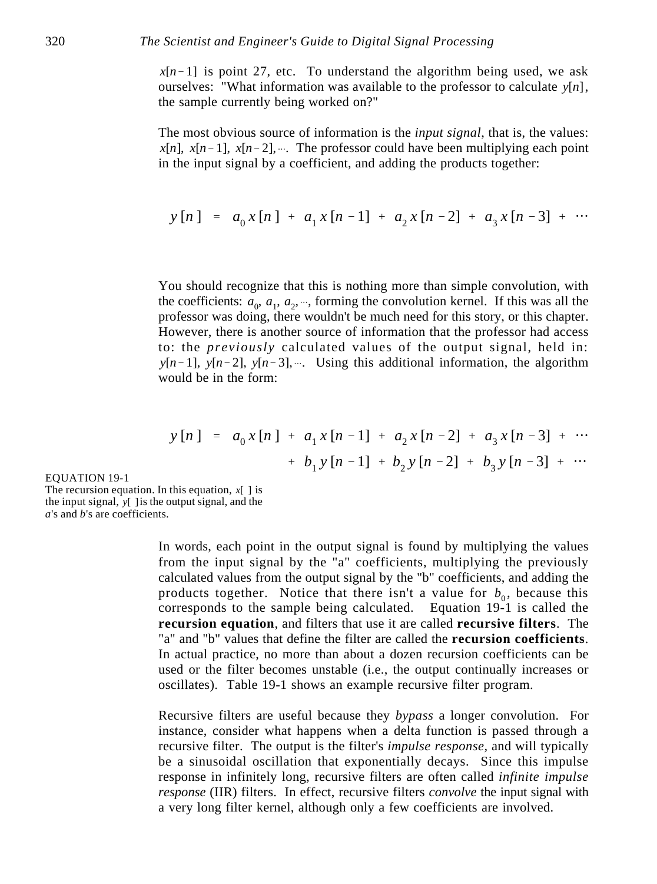$x[n-1]$  is point 27, etc. To understand the algorithm being used, we ask ourselves: "What information was available to the professor to calculate *y*[*n*], the sample currently being worked on?"

The most obvious source of information is the *input signal*, that is, the values:  $x[n], x[n-1], x[n-2], \dots$ . The professor could have been multiplying each point in the input signal by a coefficient, and adding the products together:

$$
y[n] = a_0 x[n] + a_1 x[n-1] + a_2 x[n-2] + a_3 x[n-3] + \cdots
$$

You should recognize that this is nothing more than simple convolution, with the coefficients:  $a_0$ ,  $a_1$ ,  $a_2$ ,  $\cdots$ , forming the convolution kernel. If this was all the professor was doing, there wouldn't be much need for this story, or this chapter. However, there is another source of information that the professor had access to: the *previously* calculated values of the output signal, held in: *y*[ $n-1$ ], *y*[ $n-2$ ], *y*[ $n-3$ ],  $\ldots$  Using this additional information, the algorithm would be in the form:

$$
y[n] = a_0 x[n] + a_1 x[n-1] + a_2 x[n-2] + a_3 x[n-3] + \cdots
$$
  
+ b<sub>1</sub> y[n-1] + b<sub>2</sub> y[n-2] + b<sub>3</sub> y[n-3] + \cdots

EQUATION 19-1

The recursion equation. In this equation, *x*[ ] is the input signal, *y*[ ]is the output signal, and the *a*'s and *b*'s are coefficients.

> In words, each point in the output signal is found by multiplying the values from the input signal by the "a" coefficients, multiplying the previously calculated values from the output signal by the "b" coefficients, and adding the products together. Notice that there isn't a value for  $b_0$ , because this corresponds to the sample being calculated. Equation 19-1 is called the **recursion equation**, and filters that use it are called **recursive filters**. The "a" and "b" values that define the filter are called the **recursion coefficients**. In actual practice, no more than about a dozen recursion coefficients can be used or the filter becomes unstable (i.e., the output continually increases or oscillates). Table 19-1 shows an example recursive filter program.

> Recursive filters are useful because they *bypass* a longer convolution. For instance, consider what happens when a delta function is passed through a recursive filter. The output is the filter's *impulse response*, and will typically be a sinusoidal oscillation that exponentially decays. Since this impulse response in infinitely long, recursive filters are often called *infinite impulse response* (IIR) filters. In effect, recursive filters *convolve* the input signal with a very long filter kernel, although only a few coefficients are involved.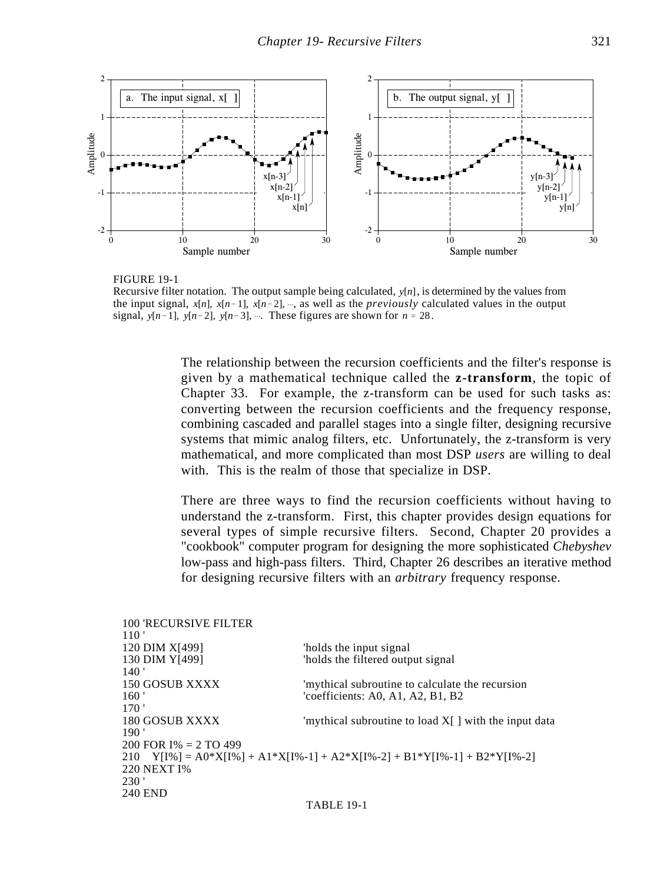

FIGURE 19-1

Recursive filter notation. The output sample being calculated,  $y[n]$ , is determined by the values from the input signal,  $x[n]$ ,  $x[n-1]$ ,  $x[n-2]$ ,  $\ldots$ , as well as the *previously* calculated values in the output signal,  $y[n-1]$ ,  $y[n-2]$ ,  $y[n-3]$ ,  $\ldots$ . These figures are shown for  $n = 28$ .

The relationship between the recursion coefficients and the filter's response is given by a mathematical technique called the **z-transform**, the topic of Chapter 33. For example, the z-transform can be used for such tasks as: converting between the recursion coefficients and the frequency response, combining cascaded and parallel stages into a single filter, designing recursive systems that mimic analog filters, etc. Unfortunately, the z-transform is very mathematical, and more complicated than most DSP *users* are willing to deal with. This is the realm of those that specialize in DSP.

There are three ways to find the recursion coefficients without having to understand the z-transform. First, this chapter provides design equations for several types of simple recursive filters. Second, Chapter 20 provides a "cookbook" computer program for designing the more sophisticated *Chebyshev* low-pass and high-pass filters. Third, Chapter 26 describes an iterative method for designing recursive filters with an *arbitrary* frequency response.

```
100 'RECURSIVE FILTER
110 '
120 DIM X[499] 'holds the input signal
130 DIM Y[499] 'holds the filtered output signal
140 '<br>150 GOSUB XXXX
150 GOSUB XXXX <sup>'mythical subroutine to calculate the recursion 160</sup><br>160 'coefficients: A0, A1, A2, B1, B2
                                   ' coefficients: A0, A1, A2, B1, B2
170 '
180 GOSUB XXXX The imput data imput data in the input data who with the input data
190 '
200 FOR I% = 2 TO 499
210 Y[I%] = A0*X[I%] + A1*X[I%-1] + A2*X[I%-2] + B1*Y[I%-1] + B2*Y[I%-2]
220 NEXT I%
230 '
240 END
```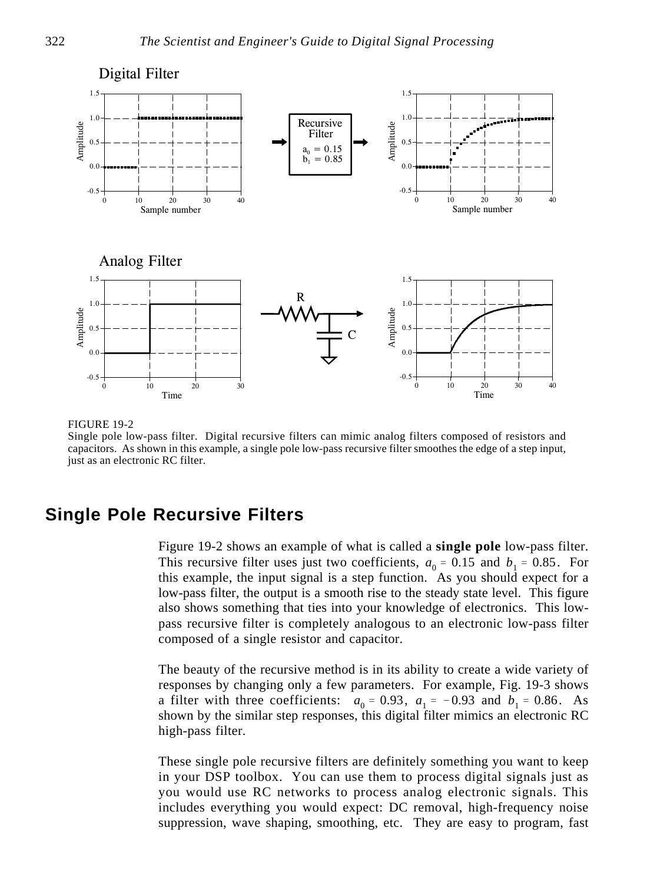

FIGURE 19-2

Single pole low-pass filter. Digital recursive filters can mimic analog filters composed of resistors and capacitors. As shown in this example, a single pole low-pass recursive filter smoothes the edge of a step input,

# **Single Pole Recursive Filters**

Figure 19-2 shows an example of what is called a **single pole** low-pass filter. This recursive filter uses just two coefficients,  $a_0 = 0.15$  and  $b_1 = 0.85$ . For this example, the input signal is a step function. As you should expect for a low-pass filter, the output is a smooth rise to the steady state level. This figure also shows something that ties into your knowledge of electronics. This lowpass recursive filter is completely analogous to an electronic low-pass filter composed of a single resistor and capacitor.

The beauty of the recursive method is in its ability to create a wide variety of responses by changing only a few parameters. For example, Fig. 19-3 shows a filter with three coefficients:  $a_0 = 0.93$ ,  $a_1 = -0.93$  and  $b_1 = 0.86$ . As shown by the similar step responses, this digital filter mimics an electronic RC high-pass filter.

These single pole recursive filters are definitely something you want to keep in your DSP toolbox. You can use them to process digital signals just as you would use RC networks to process analog electronic signals. This includes everything you would expect: DC removal, high-frequency noise suppression, wave shaping, smoothing, etc. They are easy to program, fast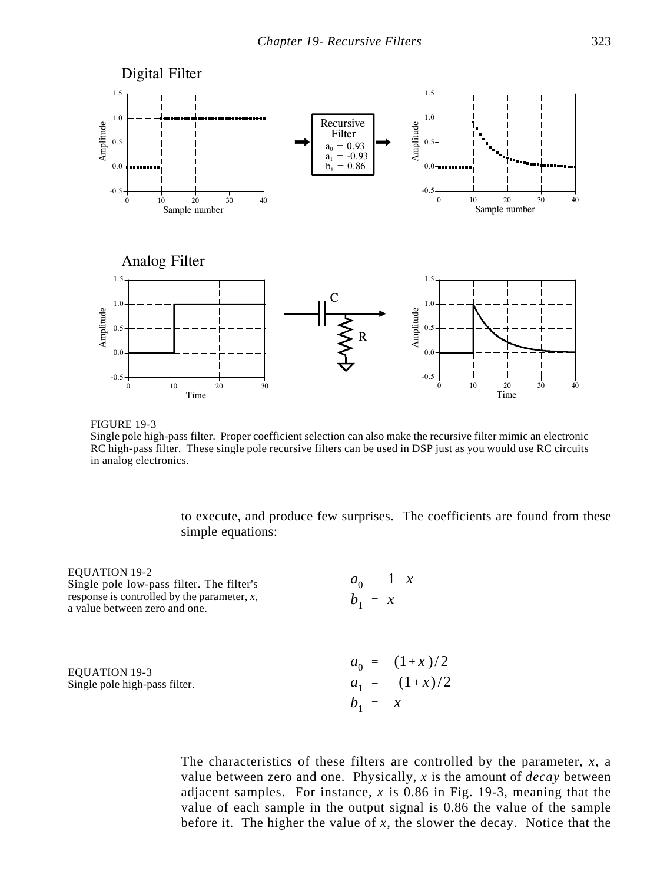

FIGURE 19-3

Single pole high-pass filter. Proper coefficient selection can also make the recursive filter mimic an electronic RC high-pass filter. These single pole recursive filters can be used in DSP just as you would use RC circuits in analog electronics.

to execute, and produce few surprises. The coefficients are found from these simple equations:

| EQUATION 19-2<br>Single pole low-pass filter. The filter's<br>response is controlled by the parameter, $x$ ,<br>a value between zero and one. | $a_0 = 1-x$<br>$b_1 = x$ |
|-----------------------------------------------------------------------------------------------------------------------------------------------|--------------------------|
| $E$ $\Omega$ LATION 10.2                                                                                                                      | $a_0 = (1+x)$            |

EQUATION 19-3 Single pole high-pass filter.

 (1%*x* )/2  $a_1 = -(1+x)/2$  $b_1 = x$ 

The characteristics of these filters are controlled by the parameter, *x*, a value between zero and one. Physically, *x* is the amount of *decay* between adjacent samples. For instance, *x* is 0.86 in Fig. 19-3, meaning that the value of each sample in the output signal is 0.86 the value of the sample before it. The higher the value of *x*, the slower the decay. Notice that the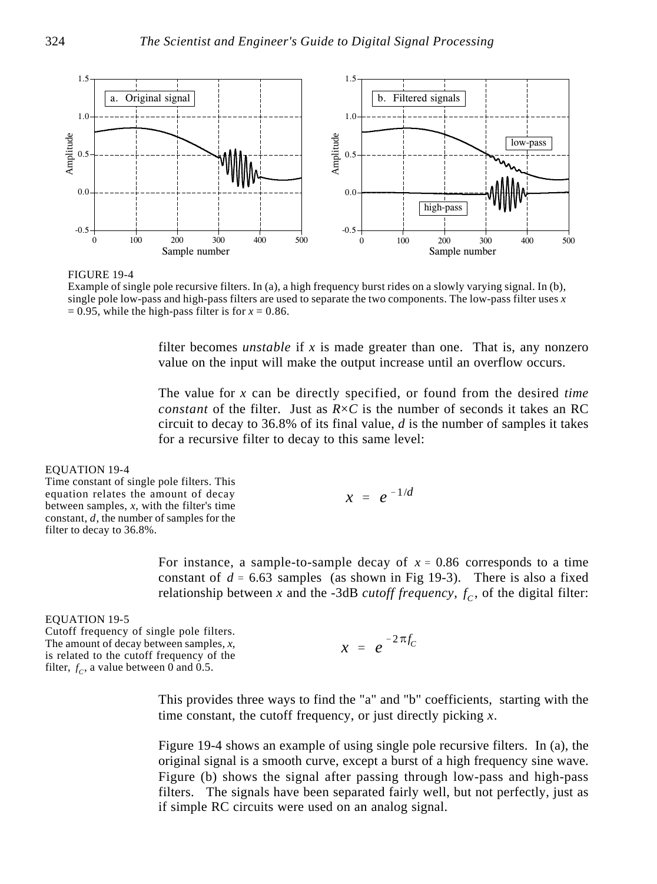

FIGURE 19-4

Example of single pole recursive filters. In (a), a high frequency burst rides on a slowly varying signal. In (b), single pole low-pass and high-pass filters are used to separate the two components. The low-pass filter uses *x*

filter becomes *unstable* if *x* is made greater than one. That is, any nonzero value on the input will make the output increase until an overflow occurs.

The value for *x* can be directly specified, or found from the desired *time constant* of the filter. Just as  $R \times C$  is the number of seconds it takes an RC circuit to decay to 36.8% of its final value, *d* is the number of samples it takes for a recursive filter to decay to this same level:

### EQUATION 19-4

Time constant of single pole filters. This equation relates the amount of decay between samples, *x*, with the filter's time constant, *d*, the number of samples for the filter to decay to 36.8%.

 $x = e^{-1/d}$ 

For instance, a sample-to-sample decay of  $x = 0.86$  corresponds to a time constant of  $d = 6.63$  samples (as shown in Fig 19-3). There is also a fixed relationship between *x* and the -3dB *cutoff frequency*,  $f_c$ , of the digital filter:

## EQUATION 19-5

Cutoff frequency of single pole filters. The amount of decay between samples, *x*, is related to the cutoff frequency of the filter,  $f_c$ , a value between 0 and 0.5.

 $x = e^{-2\pi f_c}$ 

This provides three ways to find the "a" and "b" coefficients, starting with the time constant, the cutoff frequency, or just directly picking *x*.

Figure 19-4 shows an example of using single pole recursive filters. In (a), the original signal is a smooth curve, except a burst of a high frequency sine wave. Figure (b) shows the signal after passing through low-pass and high-pass filters. The signals have been separated fairly well, but not perfectly, just as if simple RC circuits were used on an analog signal.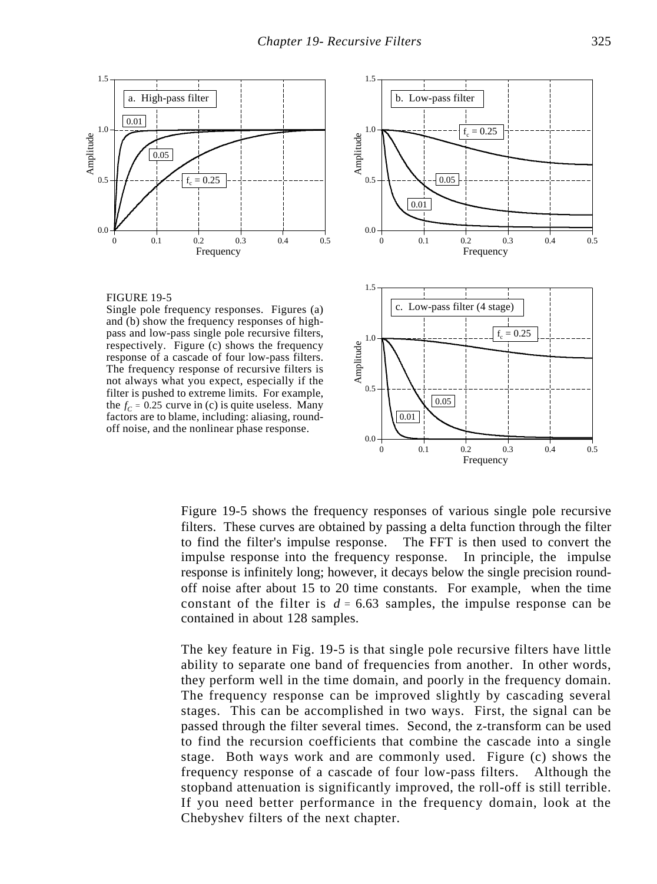

### FIGURE 19-5

Single pole frequency responses. Figures (a) and (b) show the frequency responses of highpass and low-pass single pole recursive filters, respectively. Figure (c) shows the frequency response of a cascade of four low-pass filters. The frequency response of recursive filters is not always what you expect, especially if the filter is pushed to extreme limits. For example, the  $f_C$  = 0.25 curve in (c) is quite useless. Many factors are to blame, including: aliasing, roundoff noise, and the nonlinear phase response.



Figure 19-5 shows the frequency responses of various single pole recursive filters. These curves are obtained by passing a delta function through the filter to find the filter's impulse response. The FFT is then used to convert the impulse response into the frequency response. In principle, the impulse response is infinitely long; however, it decays below the single precision roundoff noise after about 15 to 20 time constants. For example, when the time constant of the filter is  $d = 6.63$  samples, the impulse response can be contained in about 128 samples.

The key feature in Fig. 19-5 is that single pole recursive filters have little ability to separate one band of frequencies from another. In other words, they perform well in the time domain, and poorly in the frequency domain. The frequency response can be improved slightly by cascading several stages. This can be accomplished in two ways. First, the signal can be passed through the filter several times. Second, the z-transform can be used to find the recursion coefficients that combine the cascade into a single stage. Both ways work and are commonly used. Figure (c) shows the frequency response of a cascade of four low-pass filters. Although the stopband attenuation is significantly improved, the roll-off is still terrible. If you need better performance in the frequency domain, look at the Chebyshev filters of the next chapter.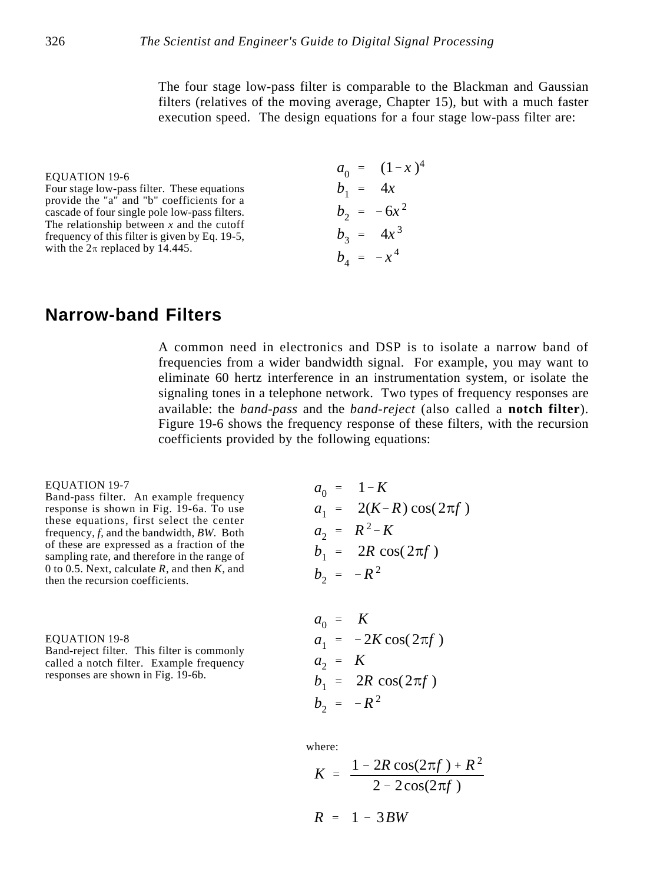The four stage low-pass filter is comparable to the Blackman and Gaussian filters (relatives of the moving average, Chapter 15), but with a much faster execution speed. The design equations for a four stage low-pass filter are:

| <b>EQUATION 19-6</b>                                                                          | $a_0 = (1-x)^4$ |
|-----------------------------------------------------------------------------------------------|-----------------|
| Four stage low-pass filter. These equations                                                   | $b_1 = 4x$      |
| provide the "a" and "b" coefficients for a<br>cascade of four single pole low-pass filters.   | $b_2 = -6x^2$   |
| The relationship between $x$ and the cutoff<br>frequency of this filter is given by Eq. 19-5, | $b_2 = 4x^3$    |
| with the $2\pi$ replaced by 14.445.                                                           | $b_4 = -x^4$    |

# **Narrow-band Filters**

A common need in electronics and DSP is to isolate a narrow band of frequencies from a wider bandwidth signal. For example, you may want to eliminate 60 hertz interference in an instrumentation system, or isolate the signaling tones in a telephone network. Two types of frequency responses are available: the *band-pass* and the *band-reject* (also called a **notch filter**). Figure 19-6 shows the frequency response of these filters, with the recursion coefficients provided by the following equations:

# EQUATION 19-7

Band-pass filter. An example frequency response is shown in Fig. 19-6a. To use these equations, first select the center frequency, *f*, and the bandwidth, *BW.* Both of these are expressed as a fraction of the sampling rate, and therefore in the range of 0 to 0.5. Next, calculate *R*, and then *K*, and then the recursion coefficients.

### EQUATION 19-8

Band-reject filter. This filter is commonly called a notch filter. Example frequency responses are shown in Fig. 19-6b.

 $a_0 = 1 - K$  $a_1 = 2(K-R) \cos(2\pi f)$  $a_2 = R^2 - K$  $b_1 = 2R \cos(2\pi f)$  $b_2 = -R^2$ 

$$
a_0 = K
$$
  
\n
$$
a_1 = -2K \cos(2\pi f)
$$
  
\n
$$
a_2 = K
$$
  
\n
$$
b_1 = 2R \cos(2\pi f)
$$
  
\n
$$
b_2 = -R^2
$$

where:

$$
K = \frac{1 - 2R\cos(2\pi f) + R^2}{2 - 2\cos(2\pi f)}
$$
  

$$
R = 1 - 3BW
$$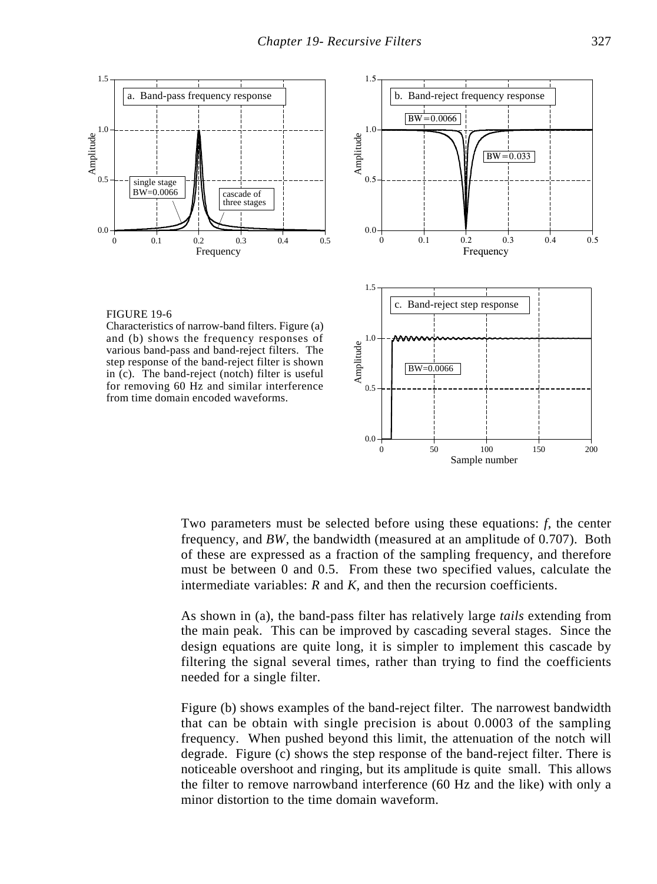



### FIGURE 19-6

Characteristics of narrow-band filters. Figure (a) and (b) shows the frequency responses of various band-pass and band-reject filters. The step response of the band-reject filter is shown in (c). The band-reject (notch) filter is useful for removing 60 Hz and similar interference from time domain encoded waveforms.

> Two parameters must be selected before using these equations: *f*, the center frequency, and *BW*, the bandwidth (measured at an amplitude of 0.707). Both of these are expressed as a fraction of the sampling frequency, and therefore must be between 0 and 0.5. From these two specified values, calculate the intermediate variables: *R* and *K*, and then the recursion coefficients.

> As shown in (a), the band-pass filter has relatively large *tails* extending from the main peak. This can be improved by cascading several stages. Since the design equations are quite long, it is simpler to implement this cascade by filtering the signal several times, rather than trying to find the coefficients needed for a single filter.

> Figure (b) shows examples of the band-reject filter. The narrowest bandwidth that can be obtain with single precision is about 0.0003 of the sampling frequency. When pushed beyond this limit, the attenuation of the notch will degrade. Figure (c) shows the step response of the band-reject filter. There is noticeable overshoot and ringing, but its amplitude is quite small. This allows the filter to remove narrowband interference (60 Hz and the like) with only a minor distortion to the time domain waveform.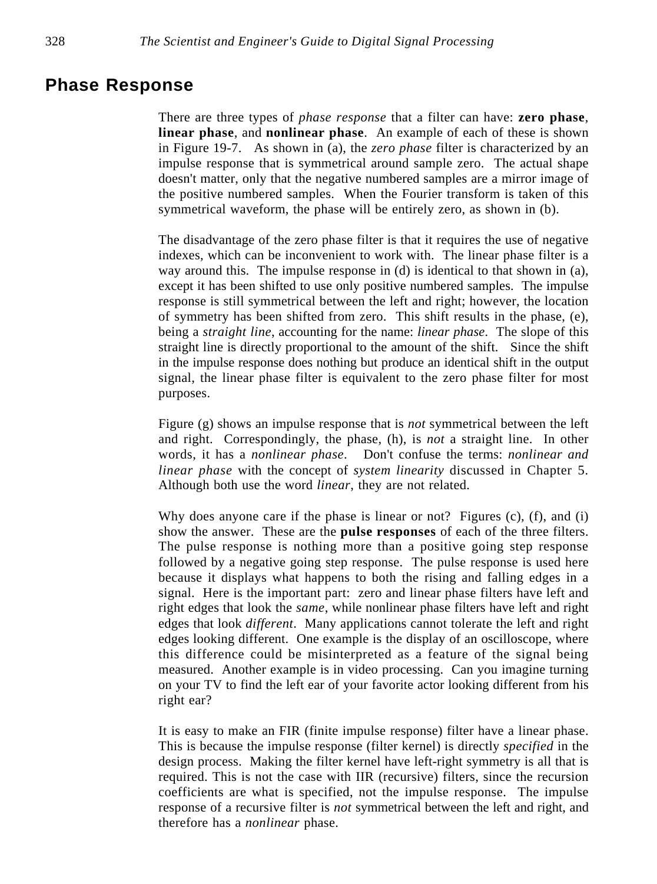# **Phase Response**

There are three types of *phase response* that a filter can have: **zero phase**, **linear phase**, and **nonlinear phase**. An example of each of these is shown in Figure 19-7. As shown in (a), the *zero phase* filter is characterized by an impulse response that is symmetrical around sample zero. The actual shape doesn't matter, only that the negative numbered samples are a mirror image of the positive numbered samples. When the Fourier transform is taken of this symmetrical waveform, the phase will be entirely zero, as shown in (b).

The disadvantage of the zero phase filter is that it requires the use of negative indexes, which can be inconvenient to work with. The linear phase filter is a way around this. The impulse response in (d) is identical to that shown in (a), except it has been shifted to use only positive numbered samples. The impulse response is still symmetrical between the left and right; however, the location of symmetry has been shifted from zero. This shift results in the phase, (e), being a *straight line*, accounting for the name: *linear phase*. The slope of this straight line is directly proportional to the amount of the shift. Since the shift in the impulse response does nothing but produce an identical shift in the output signal, the linear phase filter is equivalent to the zero phase filter for most purposes.

Figure (g) shows an impulse response that is *not* symmetrical between the left and right. Correspondingly, the phase, (h), is *not* a straight line. In other words, it has a *nonlinear phase*. Don't confuse the terms: *nonlinear and linear phase* with the concept of *system linearity* discussed in Chapter 5. Although both use the word *linear*, they are not related.

Why does anyone care if the phase is linear or not? Figures (c), (f), and (i) show the answer. These are the **pulse responses** of each of the three filters. The pulse response is nothing more than a positive going step response followed by a negative going step response. The pulse response is used here because it displays what happens to both the rising and falling edges in a signal. Here is the important part: zero and linear phase filters have left and right edges that look the *same*, while nonlinear phase filters have left and right edges that look *different*. Many applications cannot tolerate the left and right edges looking different. One example is the display of an oscilloscope, where this difference could be misinterpreted as a feature of the signal being measured. Another example is in video processing. Can you imagine turning on your TV to find the left ear of your favorite actor looking different from his right ear?

It is easy to make an FIR (finite impulse response) filter have a linear phase. This is because the impulse response (filter kernel) is directly *specified* in the design process. Making the filter kernel have left-right symmetry is all that is required. This is not the case with IIR (recursive) filters, since the recursion coefficients are what is specified, not the impulse response. The impulse response of a recursive filter is *not* symmetrical between the left and right, and therefore has a *nonlinear* phase.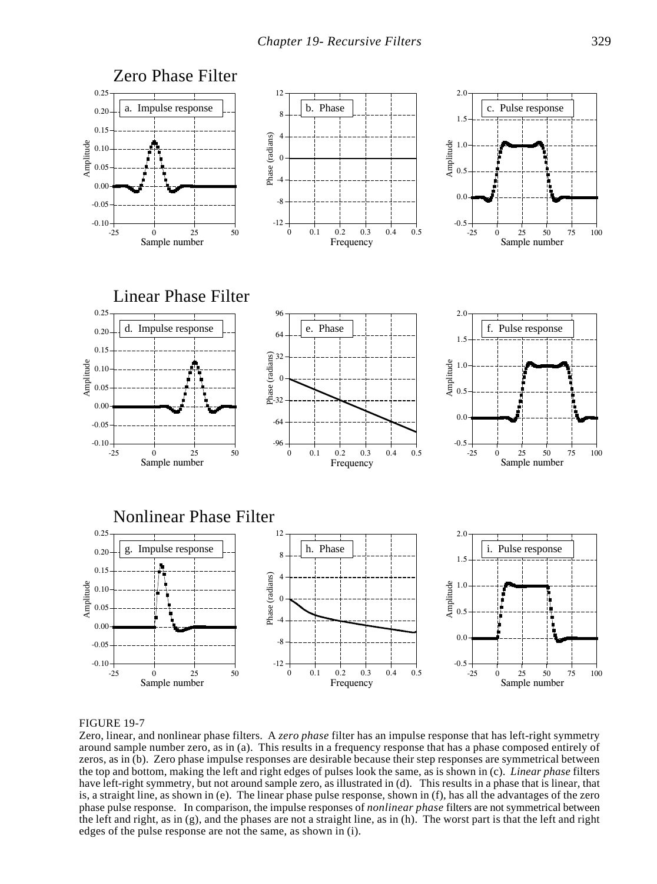

### FIGURE 19-7

Zero, linear, and nonlinear phase filters. A *zero phase* filter has an impulse response that has left-right symmetry around sample number zero, as in (a). This results in a frequency response that has a phase composed entirely of zeros, as in (b). Zero phase impulse responses are desirable because their step responses are symmetrical between the top and bottom, making the left and right edges of pulses look the same, as is shown in (c). *Linear phase* filters have left-right symmetry, but not around sample zero, as illustrated in (d). This results in a phase that is linear, that is, a straight line, as shown in (e). The linear phase pulse response, shown in (f), has all the advantages of the zero phase pulse response. In comparison, the impulse responses of *nonlinear phase* filters are not symmetrical between the left and right, as in (g), and the phases are not a straight line, as in (h). The worst part is that the left and right edges of the pulse response are not the same, as shown in (i).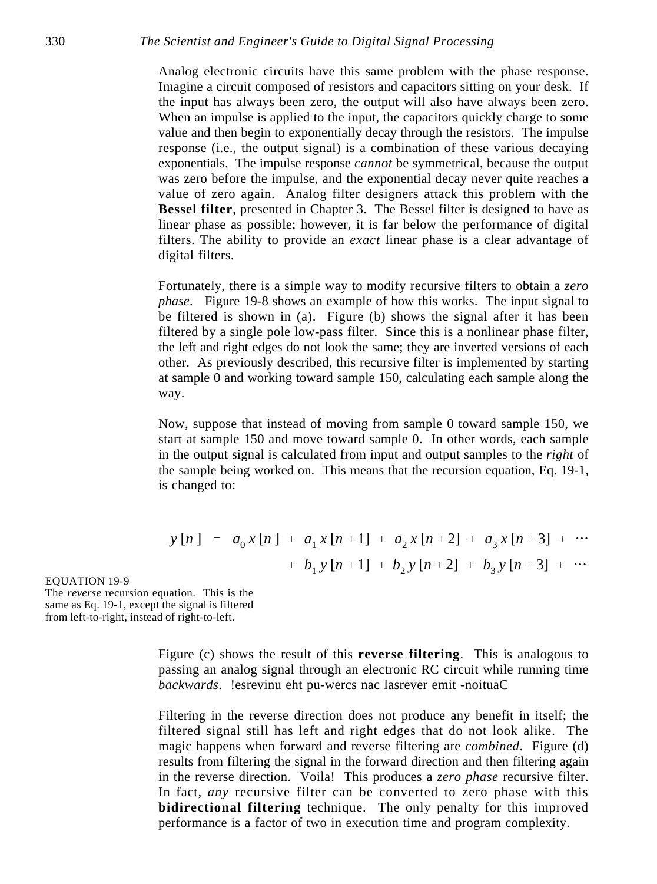Analog electronic circuits have this same problem with the phase response. Imagine a circuit composed of resistors and capacitors sitting on your desk. If the input has always been zero, the output will also have always been zero. When an impulse is applied to the input, the capacitors quickly charge to some value and then begin to exponentially decay through the resistors. The impulse response (i.e., the output signal) is a combination of these various decaying exponentials. The impulse response *cannot* be symmetrical, because the output was zero before the impulse, and the exponential decay never quite reaches a value of zero again. Analog filter designers attack this problem with the **Bessel filter**, presented in Chapter 3. The Bessel filter is designed to have as linear phase as possible; however, it is far below the performance of digital filters. The ability to provide an *exact* linear phase is a clear advantage of digital filters.

Fortunately, there is a simple way to modify recursive filters to obtain a *zero phase*. Figure 19-8 shows an example of how this works. The input signal to be filtered is shown in (a). Figure (b) shows the signal after it has been filtered by a single pole low-pass filter. Since this is a nonlinear phase filter, the left and right edges do not look the same; they are inverted versions of each other. As previously described, this recursive filter is implemented by starting at sample 0 and working toward sample 150, calculating each sample along the way.

Now, suppose that instead of moving from sample 0 toward sample 150, we start at sample 150 and move toward sample 0. In other words, each sample in the output signal is calculated from input and output samples to the *right* of the sample being worked on. This means that the recursion equation, Eq. 19-1, is changed to:

$$
y[n] = a_0 x[n] + a_1 x[n+1] + a_2 x[n+2] + a_3 x[n+3] + \cdots
$$
  
+ b<sub>1</sub> y[n+1] + b<sub>2</sub> y[n+2] + b<sub>3</sub> y[n+3] + \cdots

EQUATION 19-9 The *reverse* recursion equation. This is the same as Eq. 19-1, except the signal is filtered from left-to-right, instead of right-to-left.

> Figure (c) shows the result of this **reverse filtering**. This is analogous to passing an analog signal through an electronic RC circuit while running time *backwards*. !esrevinu eht pu-wercs nac lasrever emit -noituaC

> Filtering in the reverse direction does not produce any benefit in itself; the filtered signal still has left and right edges that do not look alike. The magic happens when forward and reverse filtering are *combined*. Figure (d) results from filtering the signal in the forward direction and then filtering again in the reverse direction. Voila! This produces a *zero phase* recursive filter. In fact, *any* recursive filter can be converted to zero phase with this **bidirectional filtering** technique. The only penalty for this improved performance is a factor of two in execution time and program complexity.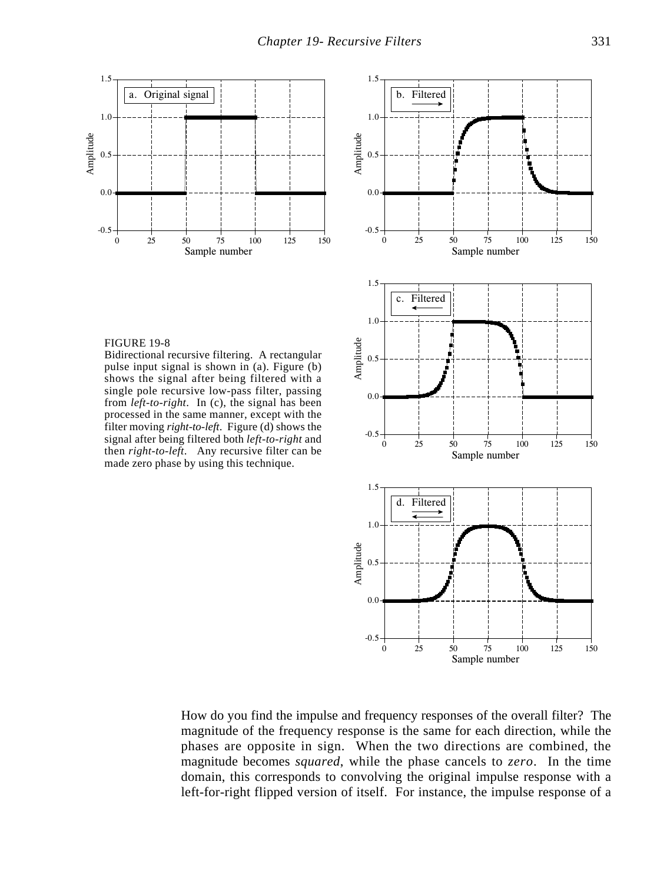



How do you find the impulse and frequency responses of the overall filter? The magnitude of the frequency response is the same for each direction, while the phases are opposite in sign. When the two directions are combined, the magnitude becomes *squared*, while the phase cancels to *zero*. In the time domain, this corresponds to convolving the original impulse response with a left-for-right flipped version of itself. For instance, the impulse response of a

FIGURE 19-8

Bidirectional recursive filtering. A rectangular pulse input signal is shown in (a). Figure (b) shows the signal after being filtered with a single pole recursive low-pass filter, passing from *left-to-right*. In (c), the signal has been processed in the same manner, except with the filter moving *right-to-left*. Figure (d) shows the signal after being filtered both *left-to-right* and then *right-to-left*. Any recursive filter can be made zero phase by using this technique.